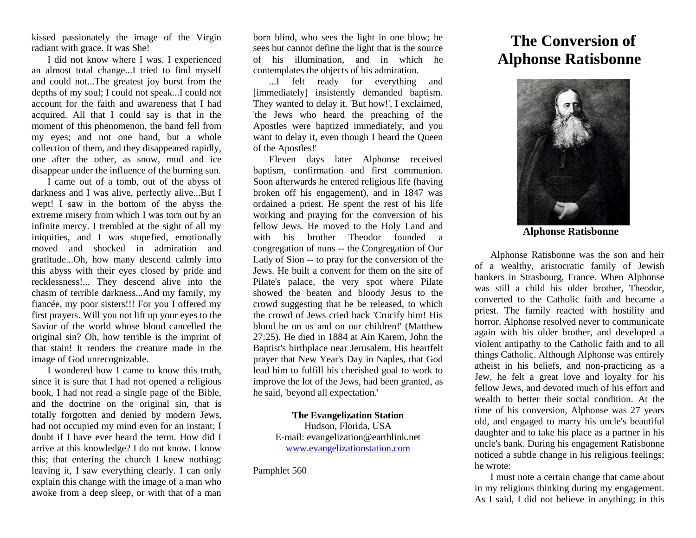kissed passionately the image of the Virgin radiant with grace. It was She!

I did not know where I was. I experienced an almost total change...I tried to find myself and could not...The greatest joy burst from the depths of my soul; I could not speak...I could not account for the faith and awareness that I had acquired. All that I could say is that in the moment of this phenomenon, the band fell from my eyes; and not one band, but a whole collection of them, and they disappeared rapidly, one after the other, as snow, mud and ice disappear under the influence of the burning sun.

I came out of a tomb, out of the abyss of darkness and I was alive, perfectly alive...But I wept! I saw in the bottom of the abyss the extreme misery from which I was torn out by an infinite mercy. I trembled at the sight of all my iniquities, and I was stupefied, emotionally moved and shocked in admiration and gratitude...Oh, how many descend calmly into this abyss with their eyes closed by pride and recklessness!... They descend alive into the chasm of terrible darkness...And my family, my fiancée, my poor sisters!!! For you I offered my first prayers. Will you not lift up your eyes to the Savior of the world whose blood cancelled the original sin? Oh, how terrible is the imprint of that stain! It renders the creature made in the image of God unrecognizable.

I wondered how I came to know this truth, since it is sure that I had not opened a religious book, I had not read a single page of the Bible, and the doctrine on the original sin, that is totally forgotten and denied by modern Jews, had not occupied my mind even for an instant; I doubt if I have ever heard the term. How did I arrive at this knowledge? I do not know. I know this; that entering the church I knew nothing; leaving it, I saw everything clearly. I can only explain this change with the image of a man who awoke from a deep sleep, or with that of a man

born blind, who sees the light in one blow; he sees but cannot define the light that is the source of his illumination, and in which he contemplates the objects of his admiration.

...I felt ready for everything and [immediately] insistently demanded baptism. They wanted to delay it. 'But how!', I exclaimed, 'the Jews who heard the preaching of the Apostles were baptized immediately, and you want to delay it, even though I heard the Queen of the Apostles!'

Eleven days later Alphonse received baptism, confirmation and first communion. Soon afterwards he entered religious life (having broken off his engagement), and in 1847 was ordained a priest. He spent the rest of his life working and praying for the conversion of his fellow Jews. He moved to the Holy Land and with his brother Theodor founded a congregation of nuns -- the Congregation of Our Lady of Sion -- to pray for the conversion of the Jews. He built a convent for them on the site of Pilate's palace, the very spot where Pilate showed the beaten and bloody Jesus to the crowd suggesting that he be released, to which the crowd of Jews cried back 'Crucify him! His blood be on us and on our children!' (Matthew 27:25). He died in 1884 at Ain Karem, John the Baptist's birthplace near Jerusalem. His heartfelt prayer that New Year's Day in Naples, that God lead him to fulfill his cherished goal to work to improve the lot of the Jews, had been granted, as he said, 'beyond all expectation.'

> **The Evangelization Station** Hudson, Florida, USA E-mail: evangelization@earthlink.net [www.evangelizationstation.com](http://www.pjpiisoe.org/)

Pamphlet 560

## **The Conversion of Alphonse Ratisbonne**



**[Alphonse Ratisbonne](http://theworldlovesitsown.blogspot.com/2009/05/three-lesser-known-converts-alphonse.html)**

Alphonse Ratisbonne was the son and heir of a wealthy, aristocratic family of Jewish bankers in Strasbourg, France. When Alphonse was still a child his older brother, Theodor, converted to the Catholic faith and became a priest. The family reacted with hostility and horror. Alphonse resolved never to communicate again with his older brother, and developed a violent antipathy to the Catholic faith and to all things Catholic. Although Alphonse was entirely atheist in his beliefs, and non-practicing as a Jew, he felt a great love and loyalty for his fellow Jews, and devoted much of his effort and wealth to better their social condition. At the time of his conversion, Alphonse was 27 years old, and engaged to marry his uncle's beautiful daughter and to take his place as a partner in his uncle's bank. During his engagement Ratisbonne noticed a subtle change in his religious feelings; he wrote:

I must note a certain change that came about in my religious thinking during my engagement. As I said, I did not believe in anything; in this